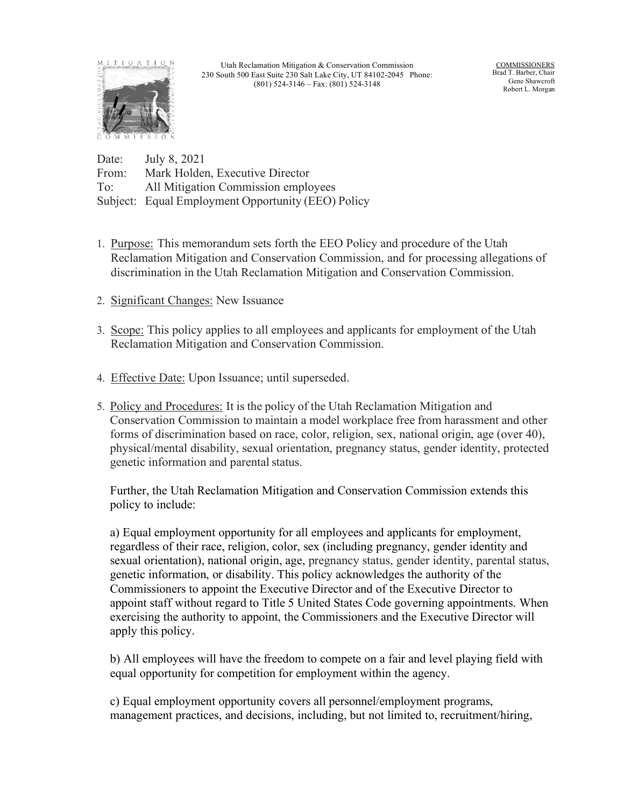

Utah Reclamation Mitigation & Conservation Commission 230 South 500 East Suite 230 Salt Lake City, UT 84102-2045 Phone: (801) 524-3146 – Fax: (801) 524-3148

COMMISSIONERS Brad T. Barber, Chair Gene Shawcroft Robert L. Morgan

Date: July 8, 2021 From: Mark Holden, Executive Director To: All Mitigation Commission employees Subject: Equal Employment Opportunity (EEO) Policy

- 1. Purpose: This memorandum sets forth the EEO Policy and procedure of the Utah Reclamation Mitigation and Conservation Commission, and for processing allegations of discrimination in the Utah Reclamation Mitigation and Conservation Commission.
- 2. Significant Changes: New Issuance
- 3. Scope: This policy applies to all employees and applicants for employment of the Utah Reclamation Mitigation and Conservation Commission.
- 4. Effective Date: Upon Issuance; until superseded.
- 5. Policy and Procedures: It is the policy of the Utah Reclamation Mitigation and Conservation Commission to maintain a model workplace free from harassment and other forms of discrimination based on race, color, religion, sex, national origin, age (over 40), physical/mental disability, sexual orientation, pregnancy status, gender identity, protected genetic information and parental status.

Further, the Utah Reclamation Mitigation and Conservation Commission extends this policy to include:

a) Equal employment opportunity for all employees and applicants for employment, regardless of their race, religion, color, sex (including pregnancy, gender identity and sexual orientation), national origin, age, pregnancy status, gender identity, parental status, genetic information, or disability. This policy acknowledges the authority of the Commissioners to appoint the Executive Director and of the Executive Director to appoint staff without regard to Title 5 United States Code governing appointments. When exercising the authority to appoint, the Commissioners and the Executive Director will apply this policy.

b) All employees will have the freedom to compete on a fair and level playing field with equal opportunity for competition for employment within the agency.

c) Equal employment opportunity covers all personnel/employment programs, management practices, and decisions, including, but not limited to, recruitment/hiring,